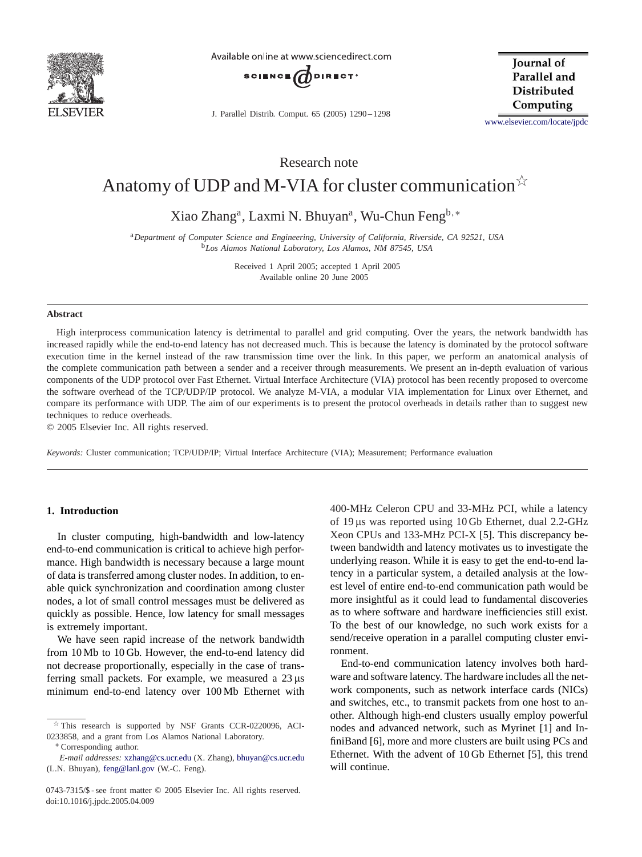

Available online at www.sciencedirect.com



J. Parallel Distrib. Comput. 65 (2005) 1290 – 1298

**Iournal** of Parallel and **Distributed** Computing

[www.elsevier.com/locate/jpdc](http://www.elsevier.com/locate/jpdc)

Research note

# Anatomy of UDP and M-VIA for cluster communication  $\overrightarrow{x}$

Xiao Zhanga, Laxmi N. Bhuyana, Wu-Chun Fengb,<sup>∗</sup>

<sup>a</sup>*Department of Computer Science and Engineering, University of California, Riverside, CA 92521, USA* <sup>b</sup>*Los Alamos National Laboratory, Los Alamos, NM 87545, USA*

> Received 1 April 2005; accepted 1 April 2005 Available online 20 June 2005

#### **Abstract**

High interprocess communication latency is detrimental to parallel and grid computing. Over the years, the network bandwidth has increased rapidly while the end-to-end latency has not decreased much. This is because the latency is dominated by the protocol software execution time in the kernel instead of the raw transmission time over the link. In this paper, we perform an anatomical analysis of the complete communication path between a sender and a receiver through measurements. We present an in-depth evaluation of various components of the UDP protocol over Fast Ethernet. Virtual Interface Architecture (VIA) protocol has been recently proposed to overcome the software overhead of the TCP/UDP/IP protocol. We analyze M-VIA, a modular VIA implementation for Linux over Ethernet, and compare its performance with UDP. The aim of our experiments is to present the protocol overheads in details rather than to suggest new techniques to reduce overheads.

© 2005 Elsevier Inc. All rights reserved.

*Keywords:* Cluster communication; TCP/UDP/IP; Virtual Interface Architecture (VIA); Measurement; Performance evaluation

## **1. Introduction**

In cluster computing, high-bandwidth and low-latency end-to-end communication is critical to achieve high performance. High bandwidth is necessary because a large mount of data is transferred among cluster nodes. In addition, to enable quick synchronization and coordination among cluster nodes, a lot of small control messages must be delivered as quickly as possible. Hence, low latency for small messages is extremely important.

We have seen rapid increase of the network bandwidth from 10 Mb to 10 Gb. However, the end-to-end latency did not decrease proportionally, especially in the case of transferring small packets. For example, we measured a  $23 \,\mu s$ minimum end-to-end latency over 100 Mb Ethernet with

400-MHz Celeron CPU and 33-MHz PCI, while a latency of 19  $\mu$ s was reported using 10 Gb Ethernet, dual 2.2-GHz Xeon CPUs and 133-MHz PCI-X [\[5\].](#page-8-0) This discrepancy between bandwidth and latency motivates us to investigate the underlying reason. While it is easy to get the end-to-end latency in a particular system, a detailed analysis at the lowest level of entire end-to-end communication path would be more insightful as it could lead to fundamental discoveries as to where software and hardware inefficiencies still exist. To the best of our knowledge, no such work exists for a send/receive operation in a parallel computing cluster environment.

End-to-end communication latency involves both hardware and software latency. The hardware includes all the network components, such as network interface cards (NICs) and switches, etc., to transmit packets from one host to another. Although high-end clusters usually employ powerful nodes and advanced network, such as Myrinet [\[1\]](#page-8-0) and InfiniBand [\[6\],](#page-8-0) more and more clusters are built using PCs and Ethernet. With the advent of 10 Gb Ethernet [\[5\],](#page-8-0) this trend will continue.

 $*$  This research is supported by NSF Grants CCR-0220096, ACI-0233858, and a grant from Los Alamos National Laboratory.

<sup>∗</sup> Corresponding author.

*E-mail addresses:* [xzhang@cs.ucr.edu](mailto:xzhang@cs.ucr.edu) (X. Zhang), [bhuyan@cs.ucr.edu](mailto:bhuyan@cs.ucr.edu) (L.N. Bhuyan), [feng@lanl.gov](mailto:feng@lanl.gov) (W.-C. Feng).

<sup>0743-7315/\$ -</sup> see front matter © 2005 Elsevier Inc. All rights reserved. doi:10.1016/j.jpdc.2005.04.009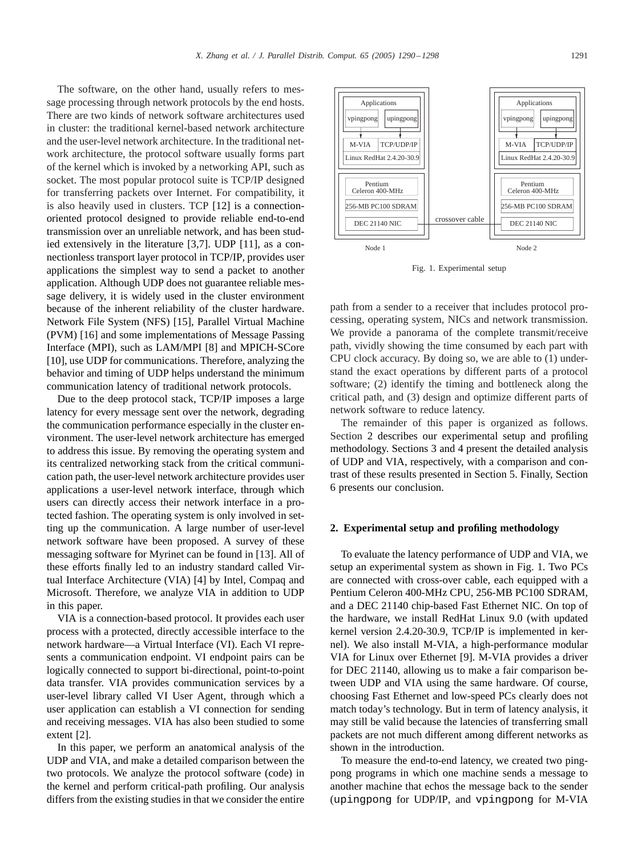The software, on the other hand, usually refers to message processing through network protocols by the end hosts. There are two kinds of network software architectures used in cluster: the traditional kernel-based network architecture and the user-level network architecture. In the traditional network architecture, the protocol software usually forms part of the kernel which is invoked by a networking API, such as socket. The most popular protocol suite is TCP/IP designed for transferring packets over Internet. For compatibility, it is also heavily used in clusters. TCP [\[12\]](#page-8-0) is a connectionoriented protocol designed to provide reliable end-to-end transmission over an unreliable network, and has been studied extensively in the literature [\[3,7\].](#page-8-0) UDP [\[11\],](#page-8-0) as a connectionless transport layer protocol in TCP/IP, provides user applications the simplest way to send a packet to another application. Although UDP does not guarantee reliable message delivery, it is widely used in the cluster environment because of the inherent reliability of the cluster hardware. Network File System (NFS) [\[15\],](#page-8-0) Parallel Virtual Machine (PVM) [\[16\]](#page-8-0) and some implementations of Message Passing Interface (MPI), such as LAM/MPI [\[8\]](#page-8-0) and MPICH-SCore [\[10\],](#page-8-0) use UDP for communications. Therefore, analyzing the behavior and timing of UDP helps understand the minimum communication latency of traditional network protocols.

Due to the deep protocol stack, TCP/IP imposes a large latency for every message sent over the network, degrading the communication performance especially in the cluster environment. The user-level network architecture has emerged to address this issue. By removing the operating system and its centralized networking stack from the critical communication path, the user-level network architecture provides user applications a user-level network interface, through which users can directly access their network interface in a protected fashion. The operating system is only involved in setting up the communication. A large number of user-level network software have been proposed. A survey of these messaging software for Myrinet can be found in [\[13\].](#page-8-0) All of these efforts finally led to an industry standard called Virtual Interface Architecture (VIA) [\[4\]](#page-8-0) by Intel, Compaq and Microsoft. Therefore, we analyze VIA in addition to UDP in this paper.

VIA is a connection-based protocol. It provides each user process with a protected, directly accessible interface to the network hardware—a Virtual Interface (VI). Each VI represents a communication endpoint. VI endpoint pairs can be logically connected to support bi-directional, point-to-point data transfer. VIA provides communication services by a user-level library called VI User Agent, through which a user application can establish a VI connection for sending and receiving messages. VIA has also been studied to some extent [\[2\].](#page-8-0)

In this paper, we perform an anatomical analysis of the UDP and VIA, and make a detailed comparison between the two protocols. We analyze the protocol software (code) in the kernel and perform critical-path profiling. Our analysis differs from the existing studies in that we consider the entire



Fig. 1. Experimental setup

path from a sender to a receiver that includes protocol processing, operating system, NICs and network transmission. We provide a panorama of the complete transmit/receive path, vividly showing the time consumed by each part with CPU clock accuracy. By doing so, we are able to (1) understand the exact operations by different parts of a protocol software; (2) identify the timing and bottleneck along the critical path, and (3) design and optimize different parts of network software to reduce latency.

The remainder of this paper is organized as follows. Section 2 describes our experimental setup and profiling methodology. Sections [3](#page-2-0) and [4](#page-4-0) present the detailed analysis of UDP and VIA, respectively, with a comparison and contrast of these results presented in Section [5.](#page-6-0) Finally, Section [6](#page-7-0) presents our conclusion.

## **2. Experimental setup and profiling methodology**

To evaluate the latency performance of UDP and VIA, we setup an experimental system as shown in Fig. 1. Two PCs are connected with cross-over cable, each equipped with a Pentium Celeron 400-MHz CPU, 256-MB PC100 SDRAM, and a DEC 21140 chip-based Fast Ethernet NIC. On top of the hardware, we install RedHat Linux 9.0 (with updated kernel version 2.4.20-30.9, TCP/IP is implemented in kernel). We also install M-VIA, a high-performance modular VIA for Linux over Ethernet [\[9\].](#page-8-0) M-VIA provides a driver for DEC 21140, allowing us to make a fair comparison between UDP and VIA using the same hardware. Of course, choosing Fast Ethernet and low-speed PCs clearly does not match today's technology. But in term of latency analysis, it may still be valid because the latencies of transferring small packets are not much different among different networks as shown in the introduction.

To measure the end-to-end latency, we created two pingpong programs in which one machine sends a message to another machine that echos the message back to the sender (upingpong for UDP/IP, and vpingpong for M-VIA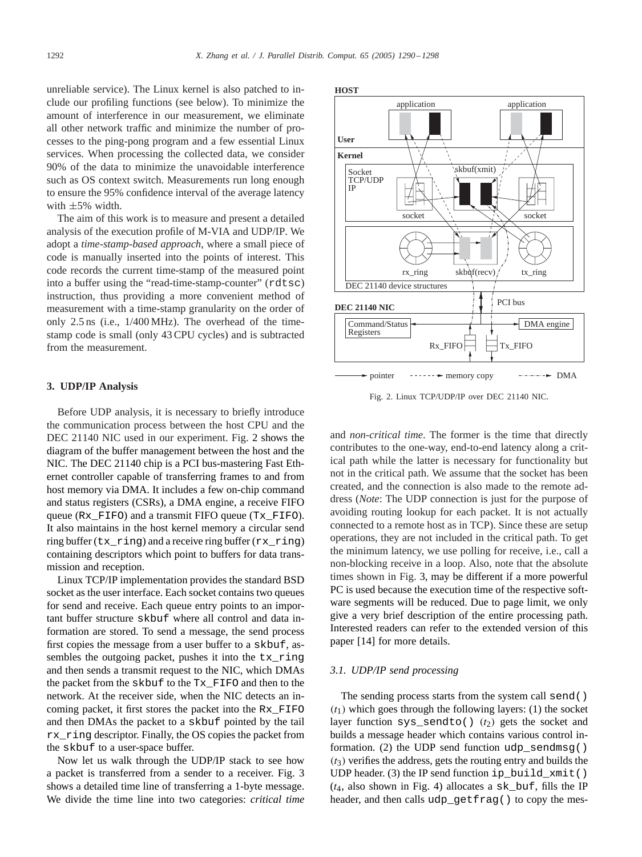<span id="page-2-0"></span>unreliable service). The Linux kernel is also patched to include our profiling functions (see below). To minimize the amount of interference in our measurement, we eliminate all other network traffic and minimize the number of processes to the ping-pong program and a few essential Linux services. When processing the collected data, we consider 90% of the data to minimize the unavoidable interference such as OS context switch. Measurements run long enough to ensure the 95% confidence interval of the average latency with  $\pm 5\%$  width.

The aim of this work is to measure and present a detailed analysis of the execution profile of M-VIA and UDP/IP. We adopt a *time-stamp-based approach*, where a small piece of code is manually inserted into the points of interest. This code records the current time-stamp of the measured point into a buffer using the "read-time-stamp-counter" (rdtsc) instruction, thus providing a more convenient method of measurement with a time-stamp granularity on the order of only 2.5 ns (i.e., 1/400 MHz). The overhead of the timestamp code is small (only 43 CPU cycles) and is subtracted from the measurement.

#### **3. UDP/IP Analysis**

Before UDP analysis, it is necessary to briefly introduce the communication process between the host CPU and the DEC 21140 NIC used in our experiment. Fig. 2 shows the diagram of the buffer management between the host and the NIC. The DEC 21140 chip is a PCI bus-mastering Fast Ethernet controller capable of transferring frames to and from host memory via DMA. It includes a few on-chip command and status registers (CSRs), a DMA engine, a receive FIFO queue (Rx\_FIFO) and a transmit FIFO queue (Tx\_FIFO). It also maintains in the host kernel memory a circular send ring buffer (tx\_ring) and a receive ring buffer (rx\_ring) containing descriptors which point to buffers for data transmission and reception.

Linux TCP/IP implementation provides the standard BSD socket as the user interface. Each socket contains two queues for send and receive. Each queue entry points to an important buffer structure skbuf where all control and data information are stored. To send a message, the send process first copies the message from a user buffer to a skbuf, assembles the outgoing packet, pushes it into the tx\_ring and then sends a transmit request to the NIC, which DMAs the packet from the skbuf to the Tx\_FIFO and then to the network. At the receiver side, when the NIC detects an incoming packet, it first stores the packet into the Rx\_FIFO and then DMAs the packet to a skbuf pointed by the tail rx\_ring descriptor. Finally, the OS copies the packet from the skbuf to a user-space buffer.

Now let us walk through the UDP/IP stack to see how a packet is transferred from a sender to a receiver. Fig. [3](#page-3-0) shows a detailed time line of transferring a 1-byte message. We divide the time line into two categories: *critical time*



Fig. 2. Linux TCP/UDP/IP over DEC 21140 NIC.

and *non-critical time*. The former is the time that directly contributes to the one-way, end-to-end latency along a critical path while the latter is necessary for functionality but not in the critical path. We assume that the socket has been created, and the connection is also made to the remote address (*Note*: The UDP connection is just for the purpose of avoiding routing lookup for each packet. It is not actually connected to a remote host as in TCP). Since these are setup operations, they are not included in the critical path. To get the minimum latency, we use polling for receive, i.e., call a non-blocking receive in a loop. Also, note that the absolute times shown in Fig. [3,](#page-3-0) may be different if a more powerful PC is used because the execution time of the respective software segments will be reduced. Due to page limit, we only give a very brief description of the entire processing path. Interested readers can refer to the extended version of this paper [\[14\]](#page-8-0) for more details.

## *3.1. UDP/IP send processing*

The sending process starts from the system call send()  $(t_1)$  which goes through the following layers: (1) the socket layer function sys sendto()  $(t_2)$  gets the socket and builds a message header which contains various control information. (2) the UDP send function udp\_sendmsg()  $(t<sub>3</sub>)$  verifies the address, gets the routing entry and builds the UDP header. (3) the IP send function ip build  $xmit()$  $(t_4,$  also shown in Fig. [4\)](#page-3-0) allocates a sk\_buf, fills the IP header, and then calls udp  $q$ etfrag() to copy the mes-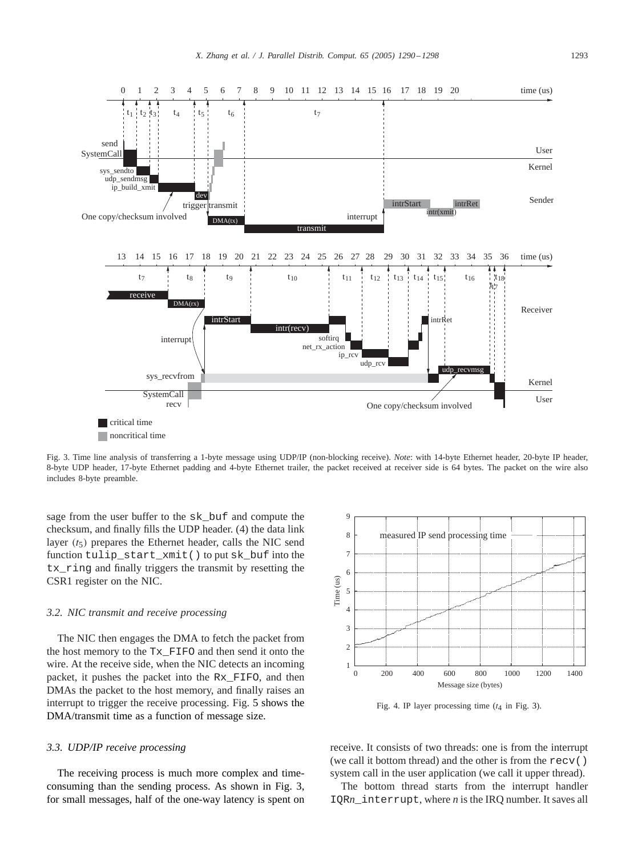<span id="page-3-0"></span>

Fig. 3. Time line analysis of transferring a 1-byte message using UDP/IP (non-blocking receive). *Note*: with 14-byte Ethernet header, 20-byte IP header, 8-byte UDP header, 17-byte Ethernet padding and 4-byte Ethernet trailer, the packet received at receiver side is 64 bytes. The packet on the wire also includes 8-byte preamble.

sage from the user buffer to the sk\_buf and compute the checksum, and finally fills the UDP header. (4) the data link layer  $(t_5)$  prepares the Ethernet header, calls the NIC send function tulip\_start\_xmit() to put sk\_buf into the tx\_ring and finally triggers the transmit by resetting the CSR1 register on the NIC.

## *3.2. NIC transmit and receive processing*

The NIC then engages the DMA to fetch the packet from the host memory to the Tx\_FIFO and then send it onto the wire. At the receive side, when the NIC detects an incoming packet, it pushes the packet into the Rx\_FIFO, and then DMAs the packet to the host memory, and finally raises an interrupt to trigger the receive processing. Fig. [5](#page-4-0) shows the DMA/transmit time as a function of message size.

## *3.3. UDP/IP receive processing*

The receiving process is much more complex and timeconsuming than the sending process. As shown in Fig. 3, for small messages, half of the one-way latency is spent on



Fig. 4. IP layer processing time  $(t_4$  in Fig. 3).

receive. It consists of two threads: one is from the interrupt (we call it bottom thread) and the other is from the  $\text{recv}($ ) system call in the user application (we call it upper thread).

The bottom thread starts from the interrupt handler IQR*n*\_interrupt, where *n* is the IRQ number. It saves all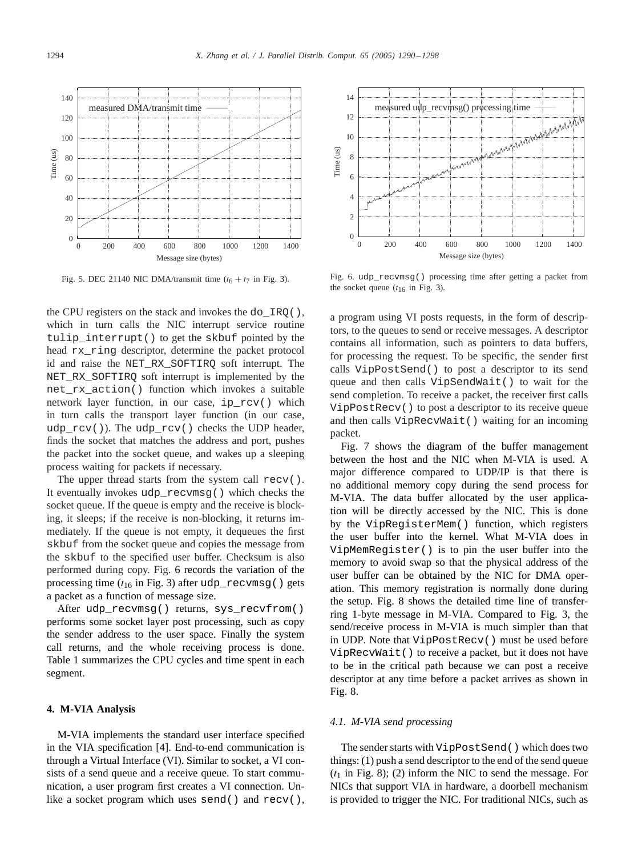<span id="page-4-0"></span>

Fig. 5. DEC 21140 NIC DMA/transmit time  $(t_6 + t_7)$  in Fig. [3\)](#page-3-0).

the CPU registers on the stack and invokes the do\_IRQ(), which in turn calls the NIC interrupt service routine tulip\_interrupt() to get the skbuf pointed by the head rx\_ring descriptor, determine the packet protocol id and raise the NET\_RX\_SOFTIRQ soft interrupt. The NET\_RX\_SOFTIRQ\_soft interrupt is implemented by the net\_rx\_action() function which invokes a suitable network layer function, in our case, ip\_rcv() which in turn calls the transport layer function (in our case, udp  $rcv()$ ). The udp  $rcv()$  checks the UDP header, finds the socket that matches the address and port, pushes the packet into the socket queue, and wakes up a sleeping process waiting for packets if necessary.

The upper thread starts from the system call  $\text{recv}()$ . It eventually invokes udp\_recvmsg() which checks the socket queue. If the queue is empty and the receive is blocking, it sleeps; if the receive is non-blocking, it returns immediately. If the queue is not empty, it dequeues the first skbuf from the socket queue and copies the message from the skbuf to the specified user buffer. Checksum is also performed during copy. Fig. 6 records the variation of the processing time ( $t_{16}$  in Fig. [3\)](#page-3-0) after udp\_recvmsg() gets a packet as a function of message size.

After udp\_recvmsq() returns, sys\_recvfrom() performs some socket layer post processing, such as copy the sender address to the user space. Finally the system call returns, and the whole receiving process is done. Table [1](#page-5-0) summarizes the CPU cycles and time spent in each segment.

#### **4. M-VIA Analysis**

M-VIA implements the standard user interface specified in the VIA specification [\[4\].](#page-8-0) End-to-end communication is through a Virtual Interface (VI). Similar to socket, a VI consists of a send queue and a receive queue. To start communication, a user program first creates a VI connection. Unlike a socket program which uses send() and recv(),



Fig. 6. udp\_recvmsg() processing time after getting a packet from the socket queue  $(t_{16}$  in Fig. [3\)](#page-3-0).

a program using VI posts requests, in the form of descriptors, to the queues to send or receive messages. A descriptor contains all information, such as pointers to data buffers, for processing the request. To be specific, the sender first calls VipPostSend() to post a descriptor to its send queue and then calls VipSendWait() to wait for the send completion. To receive a packet, the receiver first calls VipPostRecv() to post a descriptor to its receive queue and then calls VipRecvWait() waiting for an incoming packet.

Fig. [7](#page-5-0) shows the diagram of the buffer management between the host and the NIC when M-VIA is used. A major difference compared to UDP/IP is that there is no additional memory copy during the send process for M-VIA. The data buffer allocated by the user application will be directly accessed by the NIC. This is done by the VipRegisterMem() function, which registers the user buffer into the kernel. What M-VIA does in VipMemRegister() is to pin the user buffer into the memory to avoid swap so that the physical address of the user buffer can be obtained by the NIC for DMA operation. This memory registration is normally done during the setup. Fig. [8](#page-6-0) shows the detailed time line of transferring 1-byte message in M-VIA. Compared to Fig. [3,](#page-3-0) the send/receive process in M-VIA is much simpler than that in UDP. Note that VipPostRecv() must be used before VipRecvWait() to receive a packet, but it does not have to be in the critical path because we can post a receive descriptor at any time before a packet arrives as shown in Fig. [8.](#page-6-0)

## *4.1. M-VIA send processing*

The sender starts with VipPostSend() which does two things: (1) push a send descriptor to the end of the send queue  $(t_1$  in Fig. [8\)](#page-6-0); (2) inform the NIC to send the message. For NICs that support VIA in hardware, a doorbell mechanism is provided to trigger the NIC. For traditional NICs, such as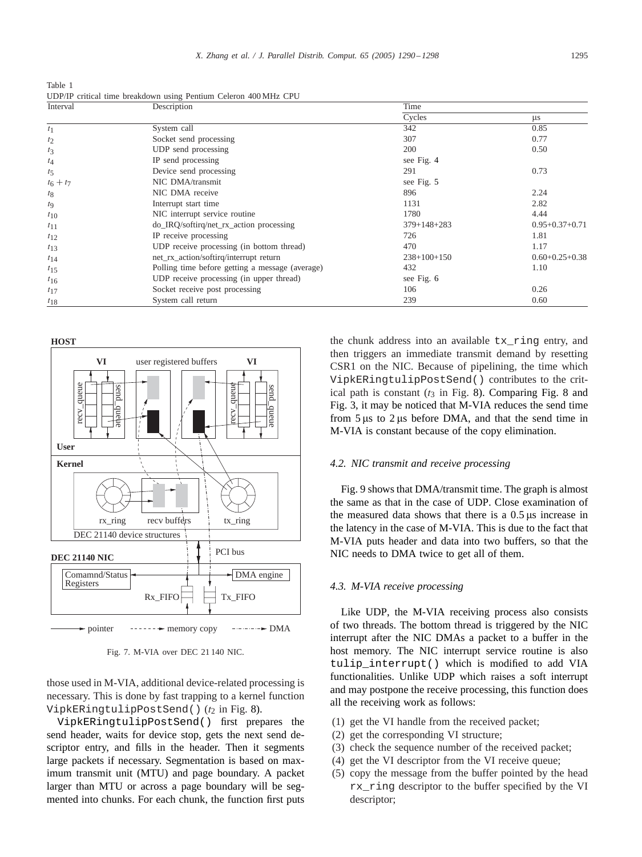<span id="page-5-0"></span>Table 1 UDP/IP critical time breakdown using Pentium Celeron 400 MHz CPU

| Interval    | Description                                     | Time              |                      |  |
|-------------|-------------------------------------------------|-------------------|----------------------|--|
|             |                                                 | Cycles            | $\mu$ s              |  |
| $t_1$       | System call                                     | 342               | 0.85                 |  |
| $t_2$       | Socket send processing                          | 307               | 0.77                 |  |
| $t_3$       | UDP send processing                             | 200               | 0.50                 |  |
| $t_4$       | IP send processing                              | see Fig. 4        |                      |  |
| $t_5$       | Device send processing                          | 291               | 0.73                 |  |
| $t_6 + t_7$ | NIC DMA/transmit                                | see Fig. 5        |                      |  |
| $t_{8}$     | NIC DMA receive                                 | 896               | 2.24                 |  |
| $t_{9}$     | Interrupt start time                            | 1131              | 2.82                 |  |
| $t_{10}$    | NIC interrupt service routine                   | 1780              | 4.44                 |  |
| $t_{11}$    | do_IRQ/softirg/net_rx_action processing         | $379 + 148 + 283$ | $0.95 + 0.37 + 0.71$ |  |
| $t_{12}$    | IP receive processing                           | 726               | 1.81                 |  |
| $t_{13}$    | UDP receive processing (in bottom thread)       | 470               | 1.17                 |  |
| $t_{14}$    | net_rx_action/softirq/interrupt return          | $238+100+150$     | $0.60 + 0.25 + 0.38$ |  |
| $t_{15}$    | Polling time before getting a message (average) | 432               | 1.10                 |  |
| $t_{16}$    | UDP receive processing (in upper thread)        | see Fig. 6        |                      |  |
| $t_{17}$    | Socket receive post processing                  | 106               | 0.26                 |  |
| $t_{18}$    | System call return                              | 239               | 0.60                 |  |



Fig. 7. M-VIA over DEC 21 140 NIC.

those used in M-VIA, additional device-related processing is necessary. This is done by fast trapping to a kernel function VipkERingtulipPostSend()  $(t_2$  in Fig. [8\)](#page-6-0).

VipkERingtulipPostSend() first prepares the send header, waits for device stop, gets the next send descriptor entry, and fills in the header. Then it segments large packets if necessary. Segmentation is based on maximum transmit unit (MTU) and page boundary. A packet larger than MTU or across a page boundary will be segmented into chunks. For each chunk, the function first puts

the chunk address into an available tx\_ring entry, and then triggers an immediate transmit demand by resetting CSR1 on the NIC. Because of pipelining, the time which VipkERingtulipPostSend() contributes to the critical path is constant  $(t<sub>3</sub>$  in Fig. [8\)](#page-6-0). Comparing Fig. [8](#page-6-0) and Fig. [3,](#page-3-0) it may be noticed that M-VIA reduces the send time from  $5 \mu s$  to  $2 \mu s$  before DMA, and that the send time in M-VIA is constant because of the copy elimination.

## *4.2. NIC transmit and receive processing*

Fig. [9](#page-6-0) shows that DMA/transmit time. The graph is almost the same as that in the case of UDP. Close examination of the measured data shows that there is a  $0.5 \,\text{\text{us}}$  increase in the latency in the case of M-VIA. This is due to the fact that M-VIA puts header and data into two buffers, so that the NIC needs to DMA twice to get all of them.

#### *4.3. M-VIA receive processing*

Like UDP, the M-VIA receiving process also consists of two threads. The bottom thread is triggered by the NIC interrupt after the NIC DMAs a packet to a buffer in the host memory. The NIC interrupt service routine is also tulip\_interrupt() which is modified to add VIA functionalities. Unlike UDP which raises a soft interrupt and may postpone the receive processing, this function does all the receiving work as follows:

- (1) get the VI handle from the received packet;
- (2) get the corresponding VI structure;
- (3) check the sequence number of the received packet;
- (4) get the VI descriptor from the VI receive queue;
- (5) copy the message from the buffer pointed by the head rx\_ring descriptor to the buffer specified by the VI descriptor;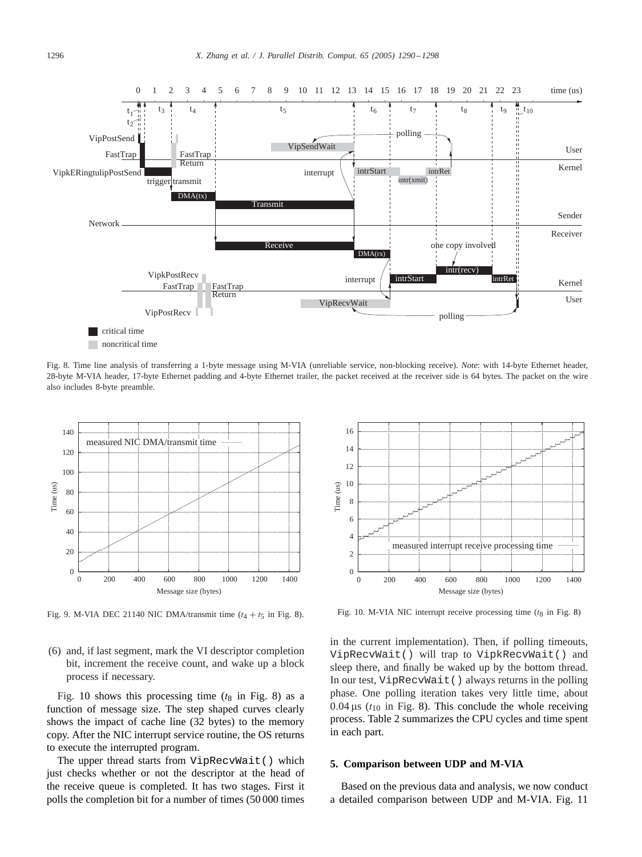<span id="page-6-0"></span>

Fig. 8. Time line analysis of transferring a 1-byte message using M-VIA (unreliable service, non-blocking receive). *Note*: with 14-byte Ethernet header, 28-byte M-VIA header, 17-byte Ethernet padding and 4-byte Ethernet trailer, the packet received at the receiver side is 64 bytes. The packet on the wire also includes 8-byte preamble.



Fig. 9. M-VIA DEC 21140 NIC DMA/transmit time  $(t_4 + t_5)$  in Fig. 8).

(6) and, if last segment, mark the VI descriptor completion bit, increment the receive count, and wake up a block process if necessary.

Fig. 10 shows this processing time  $(t_8$  in Fig. 8) as a function of message size. The step shaped curves clearly shows the impact of cache line (32 bytes) to the memory copy. After the NIC interrupt service routine, the OS returns to execute the interrupted program.

The upper thread starts from VipRecvWait() which just checks whether or not the descriptor at the head of the receive queue is completed. It has two stages. First it polls the completion bit for a number of times (50 000 times



Fig. 10. M-VIA NIC interrupt receive processing time  $(t_8$  in Fig. 8)

in the current implementation). Then, if polling timeouts, VipRecvWait() will trap to VipkRecvWait() and sleep there, and finally be waked up by the bottom thread. In our test, VipRecvWait() always returns in the polling phase. One polling iteration takes very little time, about  $0.04 \,\mu s$  ( $t_{10}$  in Fig. 8). This conclude the whole receiving process. Table [2](#page-7-0) summarizes the CPU cycles and time spent in each part.

## **5. Comparison between UDP and M-VIA**

Based on the previous data and analysis, we now conduct a detailed comparison between UDP and M-VIA. Fig. [11](#page-7-0)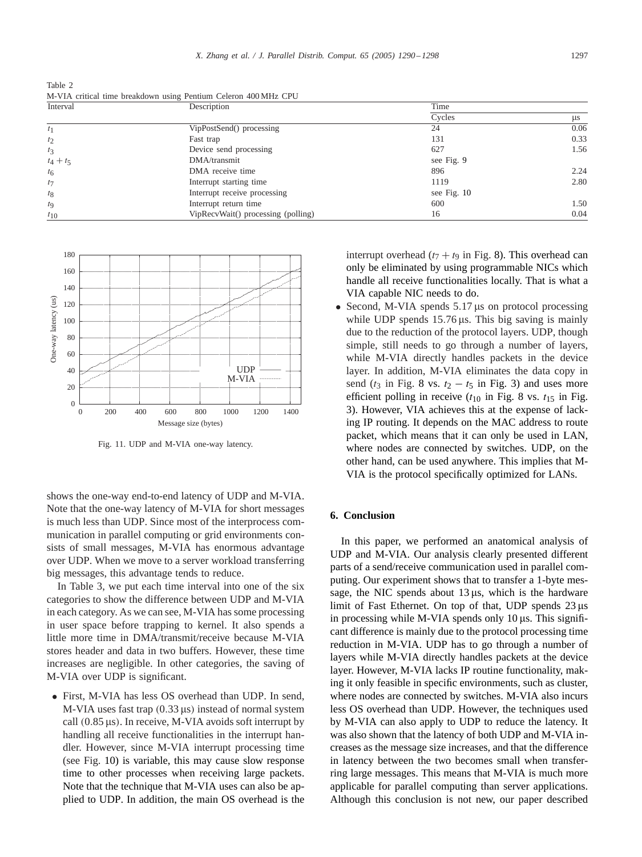<span id="page-7-0"></span>Table 2 M-VIA critical time breakdown using Pentium Celeron 400 MHz CPU

| Interval    | Description                        | Time        |           |  |
|-------------|------------------------------------|-------------|-----------|--|
|             |                                    | Cycles      | <b>us</b> |  |
| $t_1$       | VipPostSend() processing           | 24          | 0.06      |  |
| $t_2$       | Fast trap                          | 131         | 0.33      |  |
| $t_3$       | Device send processing             | 627         | 1.56      |  |
| $t_4 + t_5$ | DMA/transmit                       | see Fig. 9  |           |  |
| $t_{6}$     | DMA receive time                   | 896         | 2.24      |  |
| $t_7$       | Interrupt starting time            | 1119        | 2.80      |  |
| $t_{8}$     | Interrupt receive processing       | see Fig. 10 |           |  |
| $t_{9}$     | Interrupt return time              | 600         | 1.50      |  |
| $t_{10}$    | VipRecvWait() processing (polling) | 16          | 0.04      |  |



Fig. 11. UDP and M-VIA one-way latency.

shows the one-way end-to-end latency of UDP and M-VIA. Note that the one-way latency of M-VIA for short messages is much less than UDP. Since most of the interprocess communication in parallel computing or grid environments consists of small messages, M-VIA has enormous advantage over UDP. When we move to a server workload transferring big messages, this advantage tends to reduce.

In Table 3, we put each time interval into one of the six categories to show the difference between UDP and M-VIA in each category. As we can see, M-VIA has some processing in user space before trapping to kernel. It also spends a little more time in DMA/transmit/receive because M-VIA stores header and data in two buffers. However, these time increases are negligible. In other categories, the saving of M-VIA over UDP is significant.

• First, M-VIA has less OS overhead than UDP. In send, M-VIA uses fast trap  $(0.33 \,\mu s)$  instead of normal system call  $(0.85 \,\mu s)$ . In receive, M-VIA avoids soft interrupt by handling all receive functionalities in the interrupt handler. However, since M-VIA interrupt processing time (see Fig. [10\)](#page-6-0) is variable, this may cause slow response time to other processes when receiving large packets. Note that the technique that M-VIA uses can also be applied to UDP. In addition, the main OS overhead is the interrupt overhead  $(t_7 + t_9)$  in Fig. [8\)](#page-6-0). This overhead can only be eliminated by using programmable NICs which handle all receive functionalities locally. That is what a VIA capable NIC needs to do.

• Second, M-VIA spends  $5.17 \,\mu s$  on protocol processing while UDP spends  $15.76 \,\mu s$ . This big saving is mainly due to the reduction of the protocol layers. UDP, though simple, still needs to go through a number of layers, while M-VIA directly handles packets in the device layer. In addition, M-VIA eliminates the data copy in send ( $t_3$  in Fig. [8](#page-6-0) vs.  $t_2 - t_5$  in Fig. [3\)](#page-3-0) and uses more efficient polling in receive  $(t_{10}$  in Fig. [8](#page-6-0) vs.  $t_{15}$  in Fig. [3\)](#page-3-0). However, VIA achieves this at the expense of lacking IP routing. It depends on the MAC address to route packet, which means that it can only be used in LAN, where nodes are connected by switches. UDP, on the other hand, can be used anywhere. This implies that M-VIA is the protocol specifically optimized for LANs.

## **6. Conclusion**

In this paper, we performed an anatomical analysis of UDP and M-VIA. Our analysis clearly presented different parts of a send/receive communication used in parallel computing. Our experiment shows that to transfer a 1-byte message, the NIC spends about  $13 \mu s$ , which is the hardware limit of Fast Ethernet. On top of that, UDP spends  $23 \mu s$ in processing while M-VIA spends only  $10 \,\mu s$ . This significant difference is mainly due to the protocol processing time reduction in M-VIA. UDP has to go through a number of layers while M-VIA directly handles packets at the device layer. However, M-VIA lacks IP routine functionality, making it only feasible in specific environments, such as cluster, where nodes are connected by switches. M-VIA also incurs less OS overhead than UDP. However, the techniques used by M-VIA can also apply to UDP to reduce the latency. It was also shown that the latency of both UDP and M-VIA increases as the message size increases, and that the difference in latency between the two becomes small when transferring large messages. This means that M-VIA is much more applicable for parallel computing than server applications. Although this conclusion is not new, our paper described